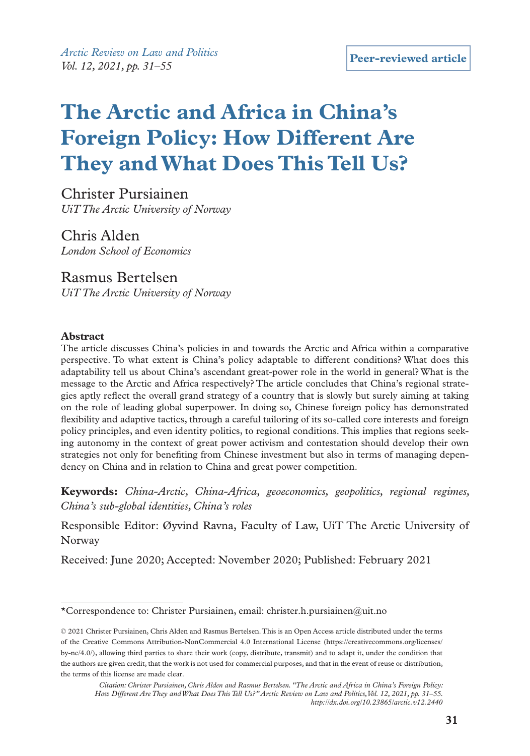# **The Arctic and Africa in China's Foreign Policy: How Different Are They and What Does This Tell Us?**

Christer Pursiainen *UiT The Arctic University of Norway*

Chris Alden *London School of Economics* 

Rasmus Bertelsen *UiT The Arctic University of Norway*

#### **Abstract**

The article discusses China's policies in and towards the Arctic and Africa within a comparative perspective. To what extent is China's policy adaptable to different conditions? What does this adaptability tell us about China's ascendant great-power role in the world in general? What is the message to the Arctic and Africa respectively? The article concludes that China's regional strategies aptly reflect the overall grand strategy of a country that is slowly but surely aiming at taking on the role of leading global superpower. In doing so, Chinese foreign policy has demonstrated flexibility and adaptive tactics, through a careful tailoring of its so-called core interests and foreign policy principles, and even identity politics, to regional conditions. This implies that regions seeking autonomy in the context of great power activism and contestation should develop their own strategies not only for benefiting from Chinese investment but also in terms of managing dependency on China and in relation to China and great power competition.

**Keywords:** *China-Arctic, China-Africa, geoeconomics, geopolitics, regional regimes, China's sub-global identities, China's roles*

Responsible Editor: Øyvind Ravna, Faculty of Law, UiT The Arctic University of Norway

Received: June 2020; Accepted: November 2020; Published: February 2021

<sup>\*</sup>Correspondence to: Christer Pursiainen, email: [christer.h.pursiainen@uit.no](mailto:christer.h.pursiainen@uit.no)

<sup>© 2021</sup> Christer Pursiainen, Chris Alden and Rasmus Bertelsen. This is an Open Access article distributed under the terms of the Creative Commons Attribution-NonCommercial 4.0 International License (https://creativecommons.org/licenses/ by-nc/4.0/), allowing third parties to share their work (copy, distribute, transmit) and to adapt it, under the condition that the authors are given credit, that the work is not used for commercial purposes, and that in the event of reuse or distribution, the terms of this license are made clear.

*Citation: Christer Pursiainen, Chris Alden and Rasmus Bertelsen. "The Arctic and Africa in China's Foreign Policy: How Different Are They and What Does This Tell Us?" Arctic Review on Law and Politics, Vol. 12, 2021, pp. 31–55. http://dx.doi.org/10.23865/arctic.v12.2440*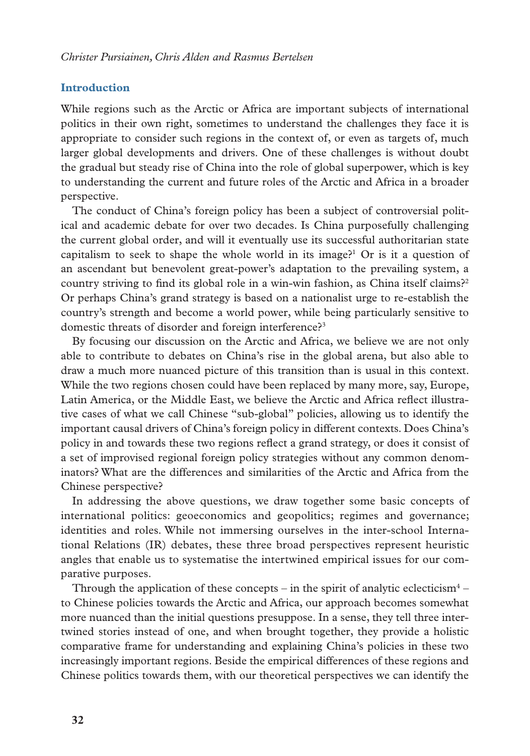# **Introduction**

While regions such as the Arctic or Africa are important subjects of international politics in their own right, sometimes to understand the challenges they face it is appropriate to consider such regions in the context of, or even as targets of, much larger global developments and drivers. One of these challenges is without doubt the gradual but steady rise of China into the role of global superpower, which is key to understanding the current and future roles of the Arctic and Africa in a broader perspective.

The conduct of China's foreign policy has been a subject of controversial political and academic debate for over two decades. Is China purposefully challenging the current global order, and will it eventually use its successful authoritarian state capitalism to seek to shape the whole world in its image?<sup>1</sup> Or is it a question of an ascendant but benevolent great-power's adaptation to the prevailing system, a country striving to find its global role in a win-win fashion, as China itself claims?<sup>2</sup> Or perhaps China's grand strategy is based on a nationalist urge to re-establish the country's strength and become a world power, while being particularly sensitive to domestic threats of disorder and foreign interference?<sup>3</sup>

By focusing our discussion on the Arctic and Africa, we believe we are not only able to contribute to debates on China's rise in the global arena, but also able to draw a much more nuanced picture of this transition than is usual in this context. While the two regions chosen could have been replaced by many more, say, Europe, Latin America, or the Middle East, we believe the Arctic and Africa reflect illustrative cases of what we call Chinese "sub-global" policies, allowing us to identify the important causal drivers of China's foreign policy in different contexts. Does China's policy in and towards these two regions reflect a grand strategy, or does it consist of a set of improvised regional foreign policy strategies without any common denominators? What are the differences and similarities of the Arctic and Africa from the Chinese perspective?

In addressing the above questions, we draw together some basic concepts of international politics: geoeconomics and geopolitics; regimes and governance; identities and roles. While not immersing ourselves in the inter-school International Relations (IR) debates, these three broad perspectives represent heuristic angles that enable us to systematise the intertwined empirical issues for our comparative purposes.

Through the application of these concepts – in the spirit of analytic eclecticism<sup>4</sup> – to Chinese policies towards the Arctic and Africa, our approach becomes somewhat more nuanced than the initial questions presuppose. In a sense, they tell three intertwined stories instead of one, and when brought together, they provide a holistic comparative frame for understanding and explaining China's policies in these two increasingly important regions. Beside the empirical differences of these regions and Chinese politics towards them, with our theoretical perspectives we can identify the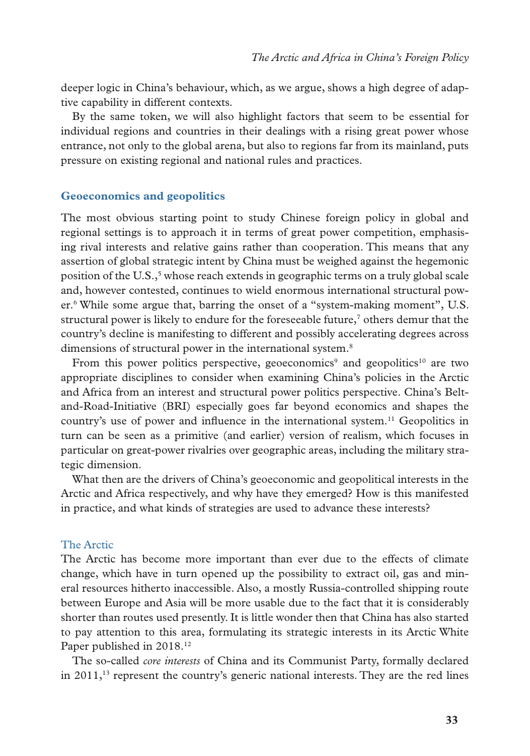deeper logic in China's behaviour, which, as we argue, shows a high degree of adaptive capability in different contexts.

By the same token, we will also highlight factors that seem to be essential for individual regions and countries in their dealings with a rising great power whose entrance, not only to the global arena, but also to regions far from its mainland, puts pressure on existing regional and national rules and practices.

#### **Geoeconomics and geopolitics**

The most obvious starting point to study Chinese foreign policy in global and regional settings is to approach it in terms of great power competition, emphasising rival interests and relative gains rather than cooperation. This means that any assertion of global strategic intent by China must be weighed against the hegemonic position of the U.S.,<sup>5</sup> whose reach extends in geographic terms on a truly global scale and, however contested, continues to wield enormous international structural power.6 While some argue that, barring the onset of a "system-making moment", U.S. structural power is likely to endure for the foreseeable future, $\frac{7}{7}$  others demur that the country's decline is manifesting to different and possibly accelerating degrees across dimensions of structural power in the international system.<sup>8</sup>

From this power politics perspective, geoeconomics<sup>9</sup> and geopolitics<sup>10</sup> are two appropriate disciplines to consider when examining China's policies in the Arctic and Africa from an interest and structural power politics perspective. China's Beltand-Road-Initiative (BRI) especially goes far beyond economics and shapes the country's use of power and influence in the international system.11 Geopolitics in turn can be seen as a primitive (and earlier) version of realism, which focuses in particular on great-power rivalries over geographic areas, including the military strategic dimension.

What then are the drivers of China's geoeconomic and geopolitical interests in the Arctic and Africa respectively, and why have they emerged? How is this manifested in practice, and what kinds of strategies are used to advance these interests?

# The Arctic

The Arctic has become more important than ever due to the effects of climate change, which have in turn opened up the possibility to extract oil, gas and mineral resources hitherto inaccessible. Also, a mostly Russia-controlled shipping route between Europe and Asia will be more usable due to the fact that it is considerably shorter than routes used presently. It is little wonder then that China has also started to pay attention to this area, formulating its strategic interests in its Arctic White Paper published in 2018.<sup>12</sup>

The so-called *core interests* of China and its Communist Party, formally declared in  $2011<sup>13</sup>$  represent the country's generic national interests. They are the red lines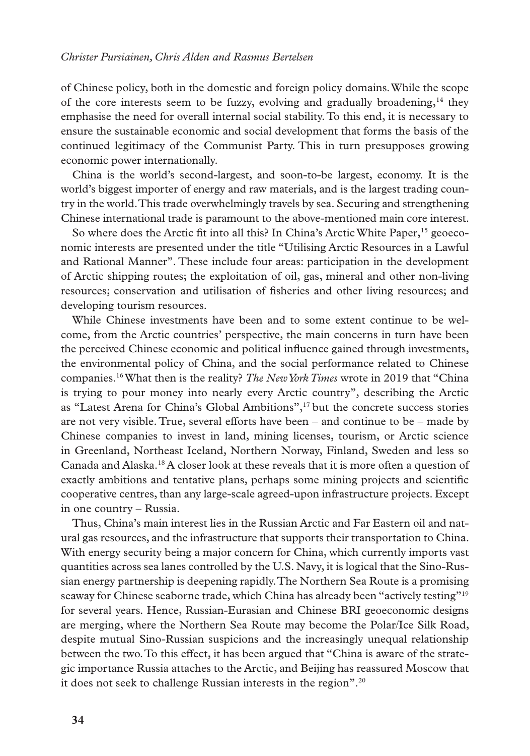of Chinese policy, both in the domestic and foreign policy domains. While the scope of the core interests seem to be fuzzy, evolving and gradually broadening, $^{14}$  they emphasise the need for overall internal social stability. To this end, it is necessary to ensure the sustainable economic and social development that forms the basis of the continued legitimacy of the Communist Party. This in turn presupposes growing economic power internationally.

China is the world's second-largest, and soon-to-be largest, economy. It is the world's biggest importer of energy and raw materials, and is the largest trading country in the world. This trade overwhelmingly travels by sea. Securing and strengthening Chinese international trade is paramount to the above-mentioned main core interest.

So where does the Arctic fit into all this? In China's Arctic White Paper,<sup>15</sup> geoeconomic interests are presented under the title "Utilising Arctic Resources in a Lawful and Rational Manner". These include four areas: participation in the development of Arctic shipping routes; the exploitation of oil, gas, mineral and other non-living resources; conservation and utilisation of fisheries and other living resources; and developing tourism resources.

While Chinese investments have been and to some extent continue to be welcome, from the Arctic countries' perspective, the main concerns in turn have been the perceived Chinese economic and political influence gained through investments, the environmental policy of China, and the social performance related to Chinese companies.16 What then is the reality? *The New York Times* wrote in 2019 that "China is trying to pour money into nearly every Arctic country", describing the Arctic as "Latest Arena for China's Global Ambitions",17 but the concrete success stories are not very visible. True, several efforts have been – and continue to be – made by Chinese companies to invest in land, mining licenses, tourism, or Arctic science in Greenland, Northeast Iceland, Northern Norway, Finland, Sweden and less so Canada and Alaska.18 A closer look at these reveals that it is more often a question of exactly ambitions and tentative plans, perhaps some mining projects and scientific cooperative centres, than any large-scale agreed-upon infrastructure projects. Except in one country – Russia.

Thus, China's main interest lies in the Russian Arctic and Far Eastern oil and natural gas resources, and the infrastructure that supports their transportation to China. With energy security being a major concern for China, which currently imports vast quantities across sea lanes controlled by the U.S. Navy, it is logical that the Sino-Russian energy partnership is deepening rapidly. The Northern Sea Route is a promising seaway for Chinese seaborne trade, which China has already been "actively testing"19 for several years. Hence, Russian-Eurasian and Chinese BRI geoeconomic designs are merging, where the Northern Sea Route may become the Polar/Ice Silk Road, despite mutual Sino-Russian suspicions and the increasingly unequal relationship between the two. To this effect, it has been argued that "China is aware of the strategic importance Russia attaches to the Arctic, and Beijing has reassured Moscow that it does not seek to challenge Russian interests in the region".20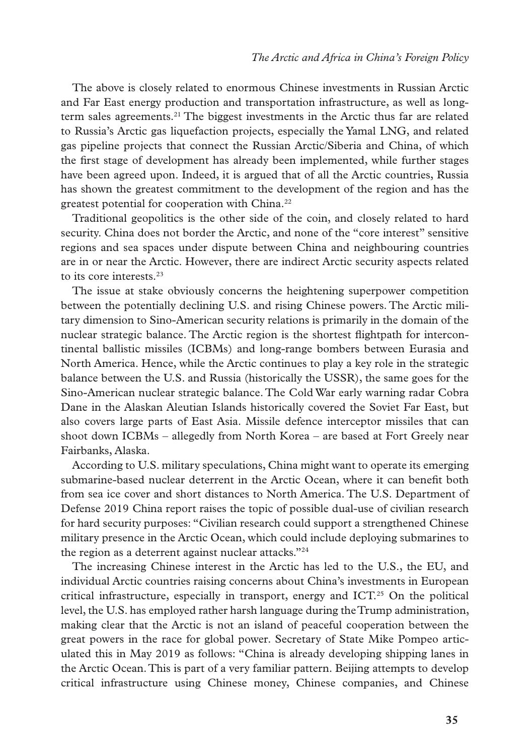The above is closely related to enormous Chinese investments in Russian Arctic and Far East energy production and transportation infrastructure, as well as longterm sales agreements.<sup>21</sup> The biggest investments in the Arctic thus far are related to Russia's Arctic gas liquefaction projects, especially the Yamal LNG, and related gas pipeline projects that connect the Russian Arctic/Siberia and China, of which the first stage of development has already been implemented, while further stages have been agreed upon. Indeed, it is argued that of all the Arctic countries, Russia has shown the greatest commitment to the development of the region and has the greatest potential for cooperation with China.<sup>22</sup>

Traditional geopolitics is the other side of the coin, and closely related to hard security. China does not border the Arctic, and none of the "core interest" sensitive regions and sea spaces under dispute between China and neighbouring countries are in or near the Arctic. However, there are indirect Arctic security aspects related to its core interests.<sup>23</sup>

The issue at stake obviously concerns the heightening superpower competition between the potentially declining U.S. and rising Chinese powers. The Arctic military dimension to Sino-American security relations is primarily in the domain of the nuclear strategic balance. The Arctic region is the shortest flightpath for intercontinental ballistic missiles (ICBMs) and long-range bombers between Eurasia and North America. Hence, while the Arctic continues to play a key role in the strategic balance between the U.S. and Russia (historically the USSR), the same goes for the Sino-American nuclear strategic balance. The Cold War early warning radar Cobra Dane in the Alaskan Aleutian Islands historically covered the Soviet Far East, but also covers large parts of East Asia. Missile defence interceptor missiles that can shoot down ICBMs – allegedly from North Korea – are based at Fort Greely near Fairbanks, Alaska.

According to U.S. military speculations, China might want to operate its emerging submarine-based nuclear deterrent in the Arctic Ocean, where it can benefit both from sea ice cover and short distances to North America. The U.S. Department of Defense 2019 China report raises the topic of possible dual-use of civilian research for hard security purposes: "Civilian research could support a strengthened Chinese military presence in the Arctic Ocean, which could include deploying submarines to the region as a deterrent against nuclear attacks."24

The increasing Chinese interest in the Arctic has led to the U.S., the EU, and individual Arctic countries raising concerns about China's investments in European critical infrastructure, especially in transport, energy and ICT.<sup>25</sup> On the political level, the U.S. has employed rather harsh language during the Trump administration, making clear that the Arctic is not an island of peaceful cooperation between the great powers in the race for global power. Secretary of State Mike Pompeo articulated this in May 2019 as follows: "China is already developing shipping lanes in the Arctic Ocean. This is part of a very familiar pattern. Beijing attempts to develop critical infrastructure using Chinese money, Chinese companies, and Chinese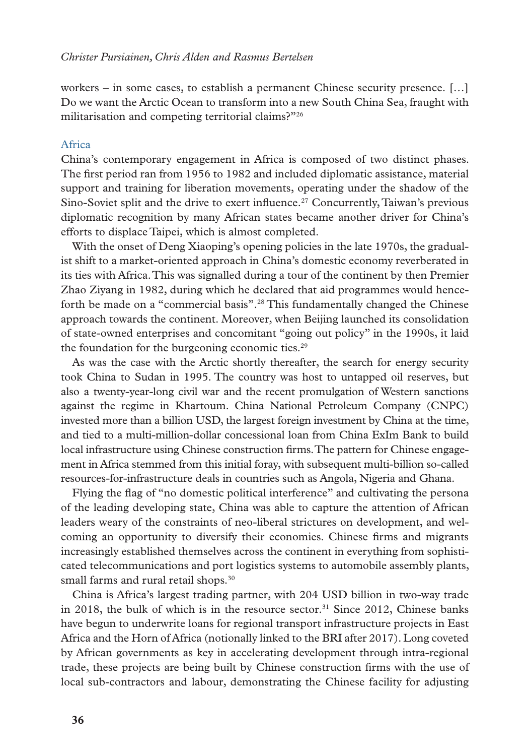workers – in some cases, to establish a permanent Chinese security presence. […] Do we want the Arctic Ocean to transform into a new South China Sea, fraught with militarisation and competing territorial claims?"<sup>26</sup>

#### Africa

China's contemporary engagement in Africa is composed of two distinct phases. The first period ran from 1956 to 1982 and included diplomatic assistance, material support and training for liberation movements, operating under the shadow of the Sino-Soviet split and the drive to exert influence.<sup>27</sup> Concurrently, Taiwan's previous diplomatic recognition by many African states became another driver for China's efforts to displace Taipei, which is almost completed.

With the onset of Deng Xiaoping's opening policies in the late 1970s, the gradualist shift to a market-oriented approach in China's domestic economy reverberated in its ties with Africa. This was signalled during a tour of the continent by then Premier Zhao Ziyang in 1982, during which he declared that aid programmes would henceforth be made on a "commercial basis".28 This fundamentally changed the Chinese approach towards the continent. Moreover, when Beijing launched its consolidation of state-owned enterprises and concomitant "going out policy" in the 1990s, it laid the foundation for the burgeoning economic ties. $29$ 

As was the case with the Arctic shortly thereafter, the search for energy security took China to Sudan in 1995. The country was host to untapped oil reserves, but also a twenty-year-long civil war and the recent promulgation of Western sanctions against the regime in Khartoum. China National Petroleum Company (CNPC) invested more than a billion USD, the largest foreign investment by China at the time, and tied to a multi-million-dollar concessional loan from China ExIm Bank to build local infrastructure using Chinese construction firms. The pattern for Chinese engagement in Africa stemmed from this initial foray, with subsequent multi-billion so-called resources-for-infrastructure deals in countries such as Angola, Nigeria and Ghana.

Flying the flag of "no domestic political interference" and cultivating the persona of the leading developing state, China was able to capture the attention of African leaders weary of the constraints of neo-liberal strictures on development, and welcoming an opportunity to diversify their economies. Chinese firms and migrants increasingly established themselves across the continent in everything from sophisticated telecommunications and port logistics systems to automobile assembly plants, small farms and rural retail shops.<sup>30</sup>

China is Africa's largest trading partner, with 204 USD billion in two-way trade in 2018, the bulk of which is in the resource sector.<sup>31</sup> Since 2012, Chinese banks have begun to underwrite loans for regional transport infrastructure projects in East Africa and the Horn of Africa (notionally linked to the BRI after 2017). Long coveted by African governments as key in accelerating development through intra-regional trade, these projects are being built by Chinese construction firms with the use of local sub-contractors and labour, demonstrating the Chinese facility for adjusting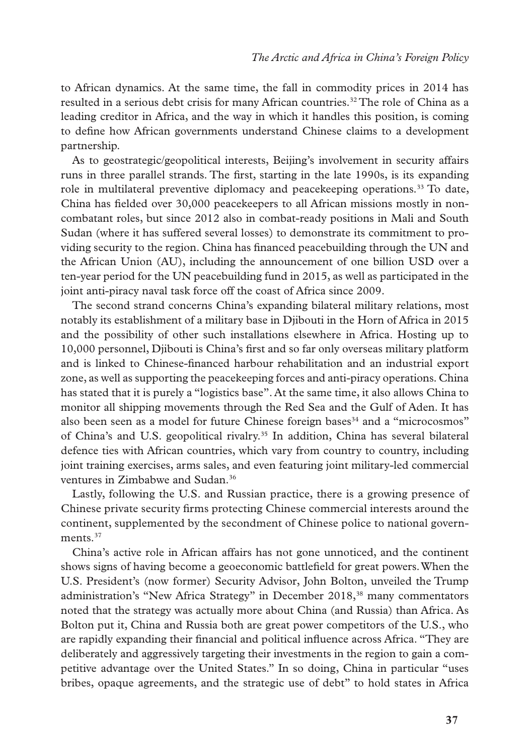to African dynamics. At the same time, the fall in commodity prices in 2014 has resulted in a serious debt crisis for many African countries.32 The role of China as a leading creditor in Africa, and the way in which it handles this position, is coming to define how African governments understand Chinese claims to a development partnership.

As to geostrategic/geopolitical interests, Beijing's involvement in security affairs runs in three parallel strands. The first, starting in the late 1990s, is its expanding role in multilateral preventive diplomacy and peacekeeping operations.33 To date, China has fielded over 30,000 peacekeepers to all African missions mostly in noncombatant roles, but since 2012 also in combat-ready positions in Mali and South Sudan (where it has suffered several losses) to demonstrate its commitment to providing security to the region. China has financed peacebuilding through the UN and the African Union (AU), including the announcement of one billion USD over a ten-year period for the UN peacebuilding fund in 2015, as well as participated in the joint anti-piracy naval task force off the coast of Africa since 2009.

The second strand concerns China's expanding bilateral military relations, most notably its establishment of a military base in Djibouti in the Horn of Africa in 2015 and the possibility of other such installations elsewhere in Africa. Hosting up to 10,000 personnel, Djibouti is China's first and so far only overseas military platform and is linked to Chinese-financed harbour rehabilitation and an industrial export zone, as well as supporting the peacekeeping forces and anti-piracy operations. China has stated that it is purely a "logistics base". At the same time, it also allows China to monitor all shipping movements through the Red Sea and the Gulf of Aden. It has also been seen as a model for future Chinese foreign bases $34$  and a "microcosmos" of China's and U.S. geopolitical rivalry.35 In addition, China has several bilateral defence ties with African countries, which vary from country to country, including joint training exercises, arms sales, and even featuring joint military-led commercial ventures in Zimbabwe and Sudan.<sup>36</sup>

Lastly, following the U.S. and Russian practice, there is a growing presence of Chinese private security firms protecting Chinese commercial interests around the continent, supplemented by the secondment of Chinese police to national governments.<sup>37</sup>

China's active role in African affairs has not gone unnoticed, and the continent shows signs of having become a geoeconomic battlefield for great powers. When the U.S. President's (now former) Security Advisor, John Bolton, unveiled the Trump administration's "New Africa Strategy" in December 2018,38 many commentators noted that the strategy was actually more about China (and Russia) than Africa. As Bolton put it, China and Russia both are great power competitors of the U.S., who are rapidly expanding their financial and political influence across Africa. "They are deliberately and aggressively targeting their investments in the region to gain a competitive advantage over the United States." In so doing, China in particular "uses bribes, opaque agreements, and the strategic use of debt" to hold states in Africa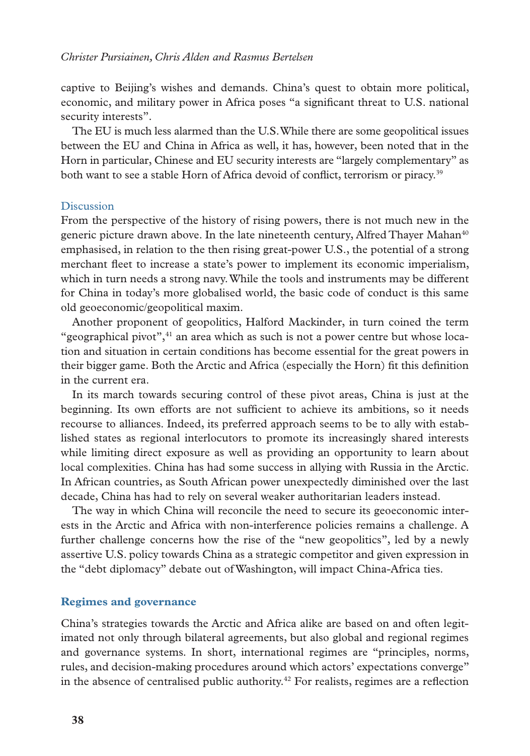captive to Beijing's wishes and demands. China's quest to obtain more political, economic, and military power in Africa poses "a significant threat to U.S. national security interests".

The EU is much less alarmed than the U.S. While there are some geopolitical issues between the EU and China in Africa as well, it has, however, been noted that in the Horn in particular, Chinese and EU security interests are "largely complementary" as both want to see a stable Horn of Africa devoid of conflict, terrorism or piracy.<sup>39</sup>

#### Discussion

From the perspective of the history of rising powers, there is not much new in the generic picture drawn above. In the late nineteenth century, Alfred Thayer Mahan<sup>40</sup> emphasised, in relation to the then rising great-power U.S., the potential of a strong merchant fleet to increase a state's power to implement its economic imperialism, which in turn needs a strong navy. While the tools and instruments may be different for China in today's more globalised world, the basic code of conduct is this same old geoeconomic/geopolitical maxim.

Another proponent of geopolitics, Halford Mackinder, in turn coined the term "geographical pivot", $41$  an area which as such is not a power centre but whose location and situation in certain conditions has become essential for the great powers in their bigger game. Both the Arctic and Africa (especially the Horn) fit this definition in the current era.

In its march towards securing control of these pivot areas, China is just at the beginning. Its own efforts are not sufficient to achieve its ambitions, so it needs recourse to alliances. Indeed, its preferred approach seems to be to ally with established states as regional interlocutors to promote its increasingly shared interests while limiting direct exposure as well as providing an opportunity to learn about local complexities. China has had some success in allying with Russia in the Arctic. In African countries, as South African power unexpectedly diminished over the last decade, China has had to rely on several weaker authoritarian leaders instead.

The way in which China will reconcile the need to secure its geoeconomic interests in the Arctic and Africa with non-interference policies remains a challenge. A further challenge concerns how the rise of the "new geopolitics", led by a newly assertive U.S. policy towards China as a strategic competitor and given expression in the "debt diplomacy" debate out of Washington, will impact China-Africa ties.

#### **Regimes and governance**

China's strategies towards the Arctic and Africa alike are based on and often legitimated not only through bilateral agreements, but also global and regional regimes and governance systems. In short, international regimes are "principles, norms, rules, and decision-making procedures around which actors' expectations converge" in the absence of centralised public authority.<sup>42</sup> For realists, regimes are a reflection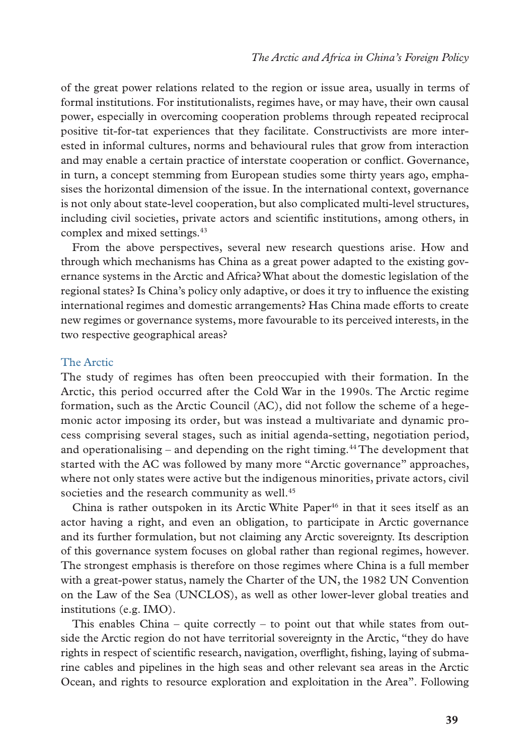of the great power relations related to the region or issue area, usually in terms of formal institutions. For institutionalists, regimes have, or may have, their own causal power, especially in overcoming cooperation problems through repeated reciprocal positive tit-for-tat experiences that they facilitate. Constructivists are more interested in informal cultures, norms and behavioural rules that grow from interaction and may enable a certain practice of interstate cooperation or conflict. Governance, in turn, a concept stemming from European studies some thirty years ago, emphasises the horizontal dimension of the issue. In the international context, governance is not only about state-level cooperation, but also complicated multi-level structures, including civil societies, private actors and scientific institutions, among others, in complex and mixed settings.<sup>43</sup>

From the above perspectives, several new research questions arise. How and through which mechanisms has China as a great power adapted to the existing governance systems in the Arctic and Africa? What about the domestic legislation of the regional states? Is China's policy only adaptive, or does it try to influence the existing international regimes and domestic arrangements? Has China made efforts to create new regimes or governance systems, more favourable to its perceived interests, in the two respective geographical areas?

# The Arctic

The study of regimes has often been preoccupied with their formation. In the Arctic, this period occurred after the Cold War in the 1990s. The Arctic regime formation, such as the Arctic Council (AC), did not follow the scheme of a hegemonic actor imposing its order, but was instead a multivariate and dynamic process comprising several stages, such as initial agenda-setting, negotiation period, and operationalising – and depending on the right timing.<sup>44</sup> The development that started with the AC was followed by many more "Arctic governance" approaches, where not only states were active but the indigenous minorities, private actors, civil societies and the research community as well.<sup>45</sup>

China is rather outspoken in its Arctic White Paper<sup>46</sup> in that it sees itself as an actor having a right, and even an obligation, to participate in Arctic governance and its further formulation, but not claiming any Arctic sovereignty. Its description of this governance system focuses on global rather than regional regimes, however. The strongest emphasis is therefore on those regimes where China is a full member with a great-power status, namely the Charter of the UN, the 1982 UN Convention on the Law of the Sea (UNCLOS), as well as other lower-lever global treaties and institutions (e.g. IMO).

This enables China – quite correctly – to point out that while states from outside the Arctic region do not have territorial sovereignty in the Arctic, "they do have rights in respect of scientific research, navigation, overflight, fishing, laying of submarine cables and pipelines in the high seas and other relevant sea areas in the Arctic Ocean, and rights to resource exploration and exploitation in the Area". Following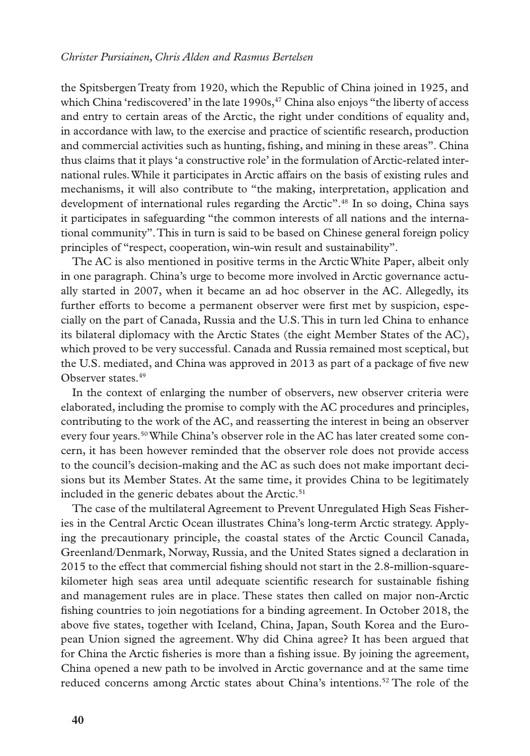the Spitsbergen Treaty from 1920, which the Republic of China joined in 1925, and which China 'rediscovered' in the late  $1990s<sup>47</sup>$  China also enjoys "the liberty of access" and entry to certain areas of the Arctic, the right under conditions of equality and, in accordance with law, to the exercise and practice of scientific research, production and commercial activities such as hunting, fishing, and mining in these areas". China thus claims that it plays 'a constructive role' in the formulation of Arctic-related international rules. While it participates in Arctic affairs on the basis of existing rules and mechanisms, it will also contribute to "the making, interpretation, application and development of international rules regarding the Arctic".<sup>48</sup> In so doing, China says it participates in safeguarding "the common interests of all nations and the international community". This in turn is said to be based on Chinese general foreign policy principles of "respect, cooperation, win-win result and sustainability".

The AC is also mentioned in positive terms in the Arctic White Paper, albeit only in one paragraph. China's urge to become more involved in Arctic governance actually started in 2007, when it became an ad hoc observer in the AC. Allegedly, its further efforts to become a permanent observer were first met by suspicion, especially on the part of Canada, Russia and the U.S. This in turn led China to enhance its bilateral diplomacy with the Arctic States (the eight Member States of the AC), which proved to be very successful. Canada and Russia remained most sceptical, but the U.S. mediated, and China was approved in 2013 as part of a package of five new Observer states.<sup>49</sup>

In the context of enlarging the number of observers, new observer criteria were elaborated, including the promise to comply with the AC procedures and principles, contributing to the work of the AC, and reasserting the interest in being an observer every four years.50 While China's observer role in the AC has later created some concern, it has been however reminded that the observer role does not provide access to the council's decision-making and the AC as such does not make important decisions but its Member States. At the same time, it provides China to be legitimately included in the generic debates about the Arctic.<sup>51</sup>

The case of the multilateral Agreement to Prevent Unregulated High Seas Fisheries in the Central Arctic Ocean illustrates China's long-term Arctic strategy. Applying the precautionary principle, the coastal states of the Arctic Council Canada, Greenland/Denmark, Norway, Russia, and the United States signed a declaration in 2015 to the effect that commercial fishing should not start in the 2.8-million-squarekilometer high seas area until adequate scientific research for sustainable fishing and management rules are in place. These states then called on major non-Arctic fishing countries to join negotiations for a binding agreement. In October 2018, the above five states, together with Iceland, China, Japan, South Korea and the European Union signed the agreement. Why did China agree? It has been argued that for China the Arctic fisheries is more than a fishing issue. By joining the agreement, China opened a new path to be involved in Arctic governance and at the same time reduced concerns among Arctic states about China's intentions.<sup>52</sup> The role of the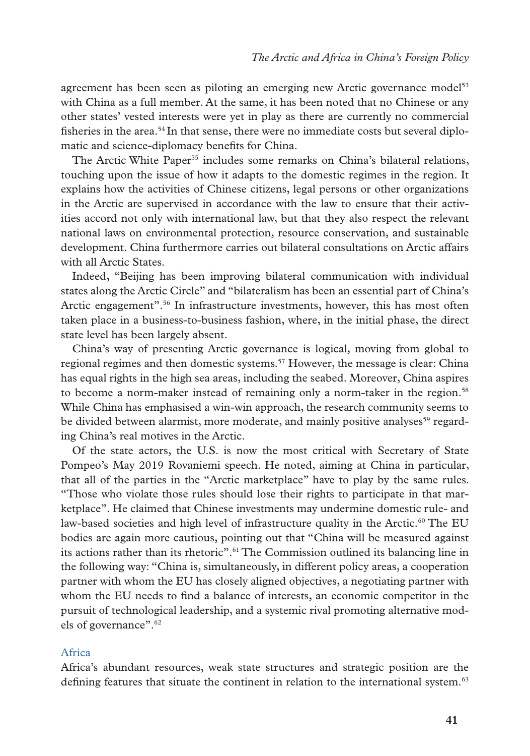agreement has been seen as piloting an emerging new Arctic governance model<sup>53</sup> with China as a full member. At the same, it has been noted that no Chinese or any other states' vested interests were yet in play as there are currently no commercial fisheries in the area.<sup>54</sup> In that sense, there were no immediate costs but several diplomatic and science-diplomacy benefits for China.

The Arctic White Paper<sup>55</sup> includes some remarks on China's bilateral relations, touching upon the issue of how it adapts to the domestic regimes in the region. It explains how the activities of Chinese citizens, legal persons or other organizations in the Arctic are supervised in accordance with the law to ensure that their activities accord not only with international law, but that they also respect the relevant national laws on environmental protection, resource conservation, and sustainable development. China furthermore carries out bilateral consultations on Arctic affairs with all Arctic States.

Indeed, "Beijing has been improving bilateral communication with individual states along the Arctic Circle" and "bilateralism has been an essential part of China's Arctic engagement".56 In infrastructure investments, however, this has most often taken place in a business-to-business fashion, where, in the initial phase, the direct state level has been largely absent.

China's way of presenting Arctic governance is logical, moving from global to regional regimes and then domestic systems.<sup>57</sup> However, the message is clear: China has equal rights in the high sea areas, including the seabed. Moreover, China aspires to become a norm-maker instead of remaining only a norm-taker in the region.<sup>58</sup> While China has emphasised a win-win approach, the research community seems to be divided between alarmist, more moderate, and mainly positive analyses<sup>59</sup> regarding China's real motives in the Arctic.

Of the state actors, the U.S. is now the most critical with Secretary of State Pompeo's May 2019 Rovaniemi speech. He noted, aiming at China in particular, that all of the parties in the "Arctic marketplace" have to play by the same rules. "Those who violate those rules should lose their rights to participate in that marketplace". He claimed that Chinese investments may undermine domestic rule- and law-based societies and high level of infrastructure quality in the Arctic.<sup>60</sup> The EU bodies are again more cautious, pointing out that "China will be measured against its actions rather than its rhetoric".61 The Commission outlined its balancing line in the following way: "China is, simultaneously, in different policy areas, a cooperation partner with whom the EU has closely aligned objectives, a negotiating partner with whom the EU needs to find a balance of interests, an economic competitor in the pursuit of technological leadership, and a systemic rival promoting alternative models of governance".62

# Africa

Africa's abundant resources, weak state structures and strategic position are the defining features that situate the continent in relation to the international system.<sup>63</sup>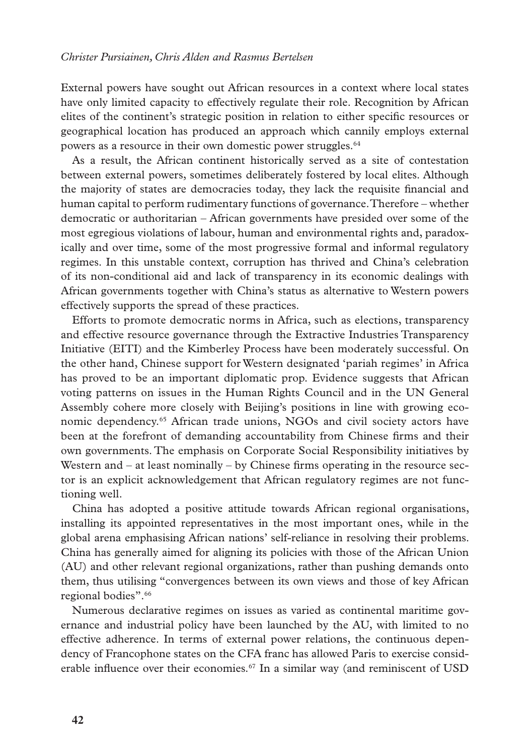External powers have sought out African resources in a context where local states have only limited capacity to effectively regulate their role. Recognition by African elites of the continent's strategic position in relation to either specific resources or geographical location has produced an approach which cannily employs external powers as a resource in their own domestic power struggles.<sup>64</sup>

As a result, the African continent historically served as a site of contestation between external powers, sometimes deliberately fostered by local elites. Although the majority of states are democracies today, they lack the requisite financial and human capital to perform rudimentary functions of governance. Therefore – whether democratic or authoritarian – African governments have presided over some of the most egregious violations of labour, human and environmental rights and, paradoxically and over time, some of the most progressive formal and informal regulatory regimes. In this unstable context, corruption has thrived and China's celebration of its non-conditional aid and lack of transparency in its economic dealings with African governments together with China's status as alternative to Western powers effectively supports the spread of these practices.

Efforts to promote democratic norms in Africa, such as elections, transparency and effective resource governance through the Extractive Industries Transparency Initiative (EITI) and the Kimberley Process have been moderately successful. On the other hand, Chinese support for Western designated 'pariah regimes' in Africa has proved to be an important diplomatic prop. Evidence suggests that African voting patterns on issues in the Human Rights Council and in the UN General Assembly cohere more closely with Beijing's positions in line with growing economic dependency.<sup>65</sup> African trade unions, NGOs and civil society actors have been at the forefront of demanding accountability from Chinese firms and their own governments. The emphasis on Corporate Social Responsibility initiatives by Western and  $-$  at least nominally  $-$  by Chinese firms operating in the resource sector is an explicit acknowledgement that African regulatory regimes are not functioning well.

China has adopted a positive attitude towards African regional organisations, installing its appointed representatives in the most important ones, while in the global arena emphasising African nations' self-reliance in resolving their problems. China has generally aimed for aligning its policies with those of the African Union (AU) and other relevant regional organizations, rather than pushing demands onto them, thus utilising "convergences between its own views and those of key African regional bodies".66

Numerous declarative regimes on issues as varied as continental maritime governance and industrial policy have been launched by the AU, with limited to no effective adherence. In terms of external power relations, the continuous dependency of Francophone states on the CFA franc has allowed Paris to exercise considerable influence over their economies.<sup>67</sup> In a similar way (and reminiscent of USD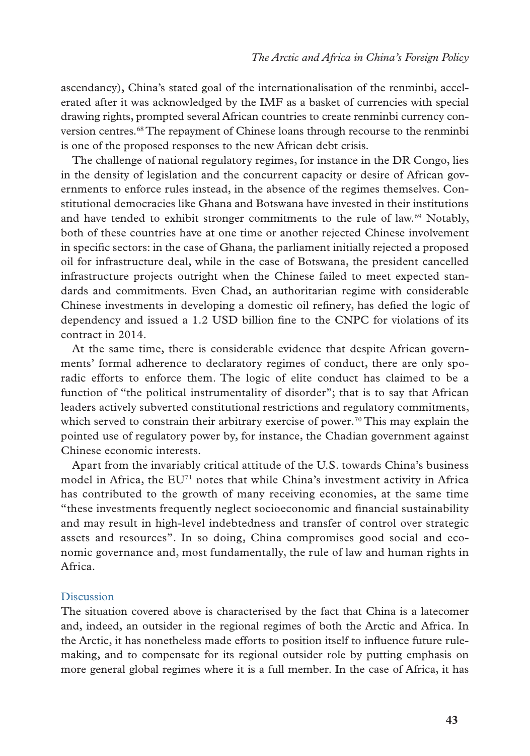ascendancy), China's stated goal of the internationalisation of the renminbi, accelerated after it was acknowledged by the IMF as a basket of currencies with special drawing rights, prompted several African countries to create renminbi currency conversion centres.68 The repayment of Chinese loans through recourse to the renminbi is one of the proposed responses to the new African debt crisis.

The challenge of national regulatory regimes, for instance in the DR Congo, lies in the density of legislation and the concurrent capacity or desire of African governments to enforce rules instead, in the absence of the regimes themselves. Constitutional democracies like Ghana and Botswana have invested in their institutions and have tended to exhibit stronger commitments to the rule of law.69 Notably, both of these countries have at one time or another rejected Chinese involvement in specific sectors: in the case of Ghana, the parliament initially rejected a proposed oil for infrastructure deal, while in the case of Botswana, the president cancelled infrastructure projects outright when the Chinese failed to meet expected standards and commitments. Even Chad, an authoritarian regime with considerable Chinese investments in developing a domestic oil refinery, has defied the logic of dependency and issued a 1.2 USD billion fine to the CNPC for violations of its contract in 2014.

At the same time, there is considerable evidence that despite African governments' formal adherence to declaratory regimes of conduct, there are only sporadic efforts to enforce them. The logic of elite conduct has claimed to be a function of "the political instrumentality of disorder"; that is to say that African leaders actively subverted constitutional restrictions and regulatory commitments, which served to constrain their arbitrary exercise of power.<sup>70</sup> This may explain the pointed use of regulatory power by, for instance, the Chadian government against Chinese economic interests.

Apart from the invariably critical attitude of the U.S. towards China's business model in Africa, the  $EU<sup>71</sup>$  notes that while China's investment activity in Africa has contributed to the growth of many receiving economies, at the same time "these investments frequently neglect socioeconomic and financial sustainability and may result in high-level indebtedness and transfer of control over strategic assets and resources". In so doing, China compromises good social and economic governance and, most fundamentally, the rule of law and human rights in Africa.

# Discussion

The situation covered above is characterised by the fact that China is a latecomer and, indeed, an outsider in the regional regimes of both the Arctic and Africa. In the Arctic, it has nonetheless made efforts to position itself to influence future rulemaking, and to compensate for its regional outsider role by putting emphasis on more general global regimes where it is a full member. In the case of Africa, it has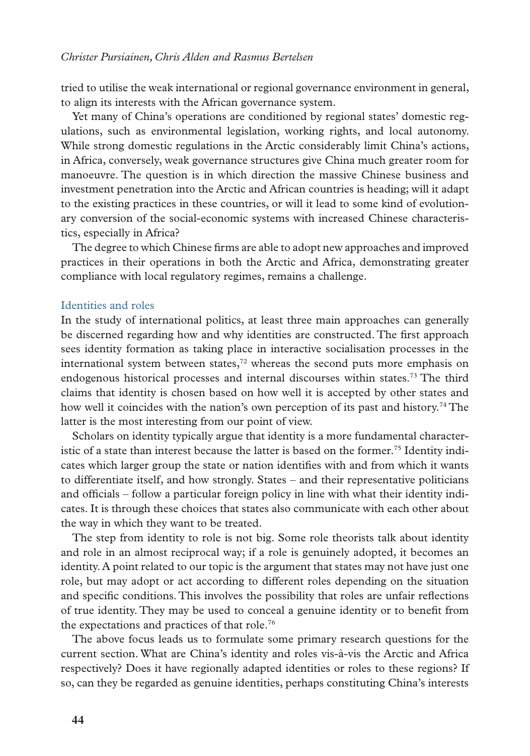tried to utilise the weak international or regional governance environment in general, to align its interests with the African governance system.

Yet many of China's operations are conditioned by regional states' domestic regulations, such as environmental legislation, working rights, and local autonomy. While strong domestic regulations in the Arctic considerably limit China's actions, in Africa, conversely, weak governance structures give China much greater room for manoeuvre. The question is in which direction the massive Chinese business and investment penetration into the Arctic and African countries is heading; will it adapt to the existing practices in these countries, or will it lead to some kind of evolutionary conversion of the social-economic systems with increased Chinese characteristics, especially in Africa?

The degree to which Chinese firms are able to adopt new approaches and improved practices in their operations in both the Arctic and Africa, demonstrating greater compliance with local regulatory regimes, remains a challenge.

#### Identities and roles

In the study of international politics, at least three main approaches can generally be discerned regarding how and why identities are constructed. The first approach sees identity formation as taking place in interactive socialisation processes in the international system between states, $72$  whereas the second puts more emphasis on endogenous historical processes and internal discourses within states.73 The third claims that identity is chosen based on how well it is accepted by other states and how well it coincides with the nation's own perception of its past and history.<sup>74</sup> The latter is the most interesting from our point of view.

Scholars on identity typically argue that identity is a more fundamental characteristic of a state than interest because the latter is based on the former.<sup>75</sup> Identity indicates which larger group the state or nation identifies with and from which it wants to differentiate itself, and how strongly. States – and their representative politicians and officials – follow a particular foreign policy in line with what their identity indicates. It is through these choices that states also communicate with each other about the way in which they want to be treated.

The step from identity to role is not big. Some role theorists talk about identity and role in an almost reciprocal way; if a role is genuinely adopted, it becomes an identity. A point related to our topic is the argument that states may not have just one role, but may adopt or act according to different roles depending on the situation and specific conditions. This involves the possibility that roles are unfair reflections of true identity. They may be used to conceal a genuine identity or to benefit from the expectations and practices of that role.76

The above focus leads us to formulate some primary research questions for the current section. What are China's identity and roles vis-à-vis the Arctic and Africa respectively? Does it have regionally adapted identities or roles to these regions? If so, can they be regarded as genuine identities, perhaps constituting China's interests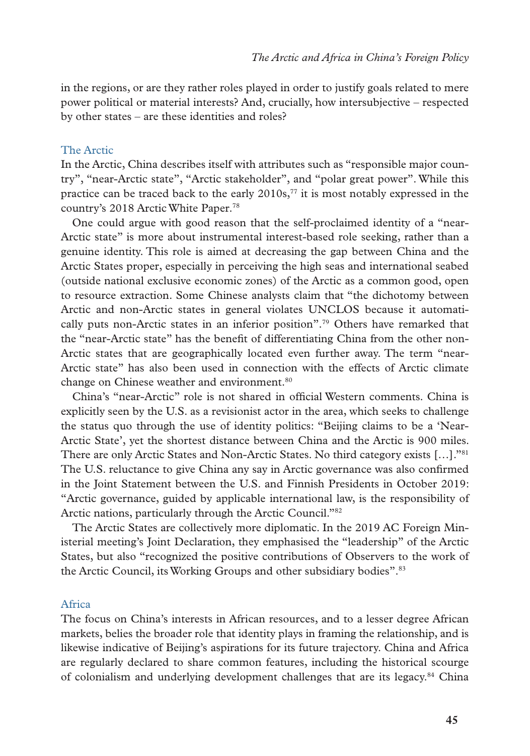in the regions, or are they rather roles played in order to justify goals related to mere power political or material interests? And, crucially, how intersubjective – respected by other states – are these identities and roles?

### The Arctic

In the Arctic, China describes itself with attributes such as "responsible major country", "near-Arctic state", "Arctic stakeholder", and "polar great power". While this practice can be traced back to the early  $2010s$ ,<sup>77</sup> it is most notably expressed in the country's 2018 Arctic White Paper.78

One could argue with good reason that the self-proclaimed identity of a "near-Arctic state" is more about instrumental interest-based role seeking, rather than a genuine identity. This role is aimed at decreasing the gap between China and the Arctic States proper, especially in perceiving the high seas and international seabed (outside national exclusive economic zones) of the Arctic as a common good, open to resource extraction. Some Chinese analysts claim that "the dichotomy between Arctic and non-Arctic states in general violates UNCLOS because it automatically puts non-Arctic states in an inferior position".79 Others have remarked that the "near-Arctic state" has the benefit of differentiating China from the other non-Arctic states that are geographically located even further away. The term "near-Arctic state" has also been used in connection with the effects of Arctic climate change on Chinese weather and environment.<sup>80</sup>

China's "near-Arctic" role is not shared in official Western comments. China is explicitly seen by the U.S. as a revisionist actor in the area, which seeks to challenge the status quo through the use of identity politics: "Beijing claims to be a 'Near-Arctic State', yet the shortest distance between China and the Arctic is 900 miles. There are only Arctic States and Non-Arctic States. No third category exists […]."81 The U.S. reluctance to give China any say in Arctic governance was also confirmed in the Joint Statement between the U.S. and Finnish Presidents in October 2019: "Arctic governance, guided by applicable international law, is the responsibility of Arctic nations, particularly through the Arctic Council."82

The Arctic States are collectively more diplomatic. In the 2019 AC Foreign Ministerial meeting's Joint Declaration, they emphasised the "leadership" of the Arctic States, but also "recognized the positive contributions of Observers to the work of the Arctic Council, its Working Groups and other subsidiary bodies".<sup>83</sup>

#### Africa

The focus on China's interests in African resources, and to a lesser degree African markets, belies the broader role that identity plays in framing the relationship, and is likewise indicative of Beijing's aspirations for its future trajectory. China and Africa are regularly declared to share common features, including the historical scourge of colonialism and underlying development challenges that are its legacy.<sup>84</sup> China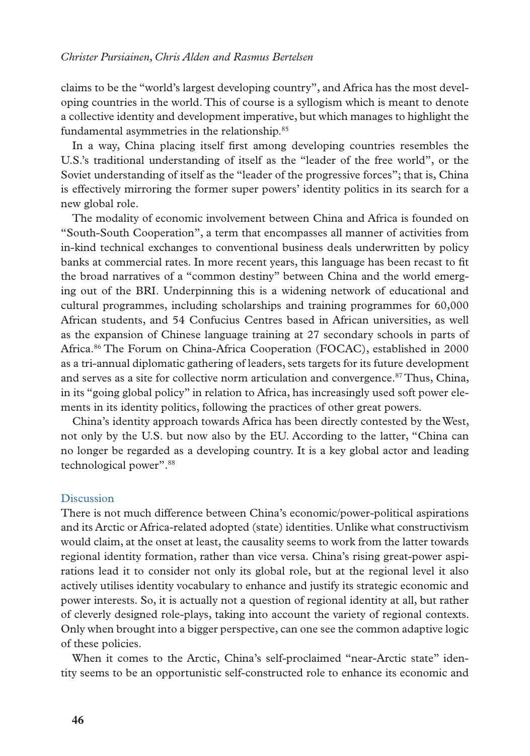claims to be the "world's largest developing country", and Africa has the most developing countries in the world. This of course is a syllogism which is meant to denote a collective identity and development imperative, but which manages to highlight the fundamental asymmetries in the relationship.<sup>85</sup>

In a way, China placing itself first among developing countries resembles the U.S.'s traditional understanding of itself as the "leader of the free world", or the Soviet understanding of itself as the "leader of the progressive forces"; that is, China is effectively mirroring the former super powers' identity politics in its search for a new global role.

The modality of economic involvement between China and Africa is founded on "South-South Cooperation", a term that encompasses all manner of activities from in-kind technical exchanges to conventional business deals underwritten by policy banks at commercial rates. In more recent years, this language has been recast to fit the broad narratives of a "common destiny" between China and the world emerging out of the BRI. Underpinning this is a widening network of educational and cultural programmes, including scholarships and training programmes for 60,000 African students, and 54 Confucius Centres based in African universities, as well as the expansion of Chinese language training at 27 secondary schools in parts of Africa.86 The Forum on China-Africa Cooperation (FOCAC), established in 2000 as a tri-annual diplomatic gathering of leaders, sets targets for its future development and serves as a site for collective norm articulation and convergence.<sup>87</sup> Thus, China, in its "going global policy" in relation to Africa, has increasingly used soft power elements in its identity politics, following the practices of other great powers.

China's identity approach towards Africa has been directly contested by the West, not only by the U.S. but now also by the EU. According to the latter, "China can no longer be regarded as a developing country. It is a key global actor and leading technological power".88

#### **Discussion**

There is not much difference between China's economic/power-political aspirations and its Arctic or Africa-related adopted (state) identities. Unlike what constructivism would claim, at the onset at least, the causality seems to work from the latter towards regional identity formation, rather than vice versa. China's rising great-power aspirations lead it to consider not only its global role, but at the regional level it also actively utilises identity vocabulary to enhance and justify its strategic economic and power interests. So, it is actually not a question of regional identity at all, but rather of cleverly designed role-plays, taking into account the variety of regional contexts. Only when brought into a bigger perspective, can one see the common adaptive logic of these policies.

When it comes to the Arctic, China's self-proclaimed "near-Arctic state" identity seems to be an opportunistic self-constructed role to enhance its economic and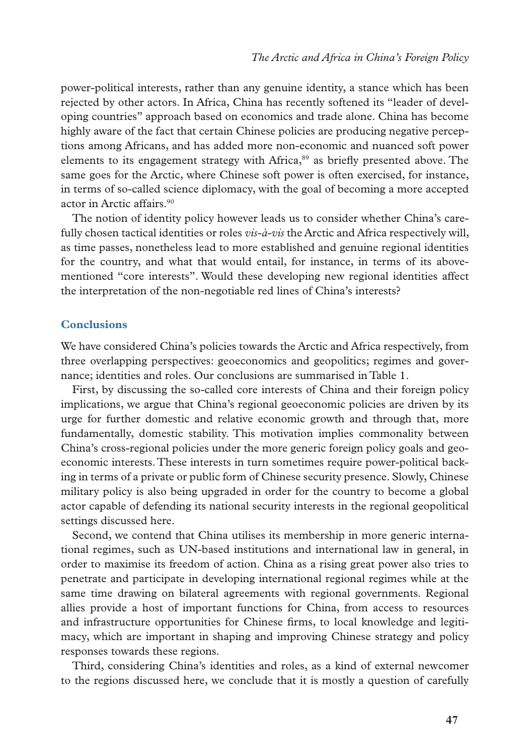power-political interests, rather than any genuine identity, a stance which has been rejected by other actors. In Africa, China has recently softened its "leader of developing countries" approach based on economics and trade alone. China has become highly aware of the fact that certain Chinese policies are producing negative perceptions among Africans, and has added more non-economic and nuanced soft power elements to its engagement strategy with Africa, $\frac{89}{9}$  as briefly presented above. The same goes for the Arctic, where Chinese soft power is often exercised, for instance, in terms of so-called science diplomacy, with the goal of becoming a more accepted actor in Arctic affairs.90

The notion of identity policy however leads us to consider whether China's carefully chosen tactical identities or roles *vis-à-vis* the Arctic and Africa respectively will, as time passes, nonetheless lead to more established and genuine regional identities for the country, and what that would entail, for instance, in terms of its abovementioned "core interests". Would these developing new regional identities affect the interpretation of the non-negotiable red lines of China's interests?

# **Conclusions**

We have considered China's policies towards the Arctic and Africa respectively, from three overlapping perspectives: geoeconomics and geopolitics; regimes and governance; identities and roles. Our conclusions are summarised in Table 1.

First, by discussing the so-called core interests of China and their foreign policy implications, we argue that China's regional geoeconomic policies are driven by its urge for further domestic and relative economic growth and through that, more fundamentally, domestic stability. This motivation implies commonality between China's cross-regional policies under the more generic foreign policy goals and geoeconomic interests. These interests in turn sometimes require power-political backing in terms of a private or public form of Chinese security presence. Slowly, Chinese military policy is also being upgraded in order for the country to become a global actor capable of defending its national security interests in the regional geopolitical settings discussed here.

Second, we contend that China utilises its membership in more generic international regimes, such as UN-based institutions and international law in general, in order to maximise its freedom of action. China as a rising great power also tries to penetrate and participate in developing international regional regimes while at the same time drawing on bilateral agreements with regional governments. Regional allies provide a host of important functions for China, from access to resources and infrastructure opportunities for Chinese firms, to local knowledge and legitimacy, which are important in shaping and improving Chinese strategy and policy responses towards these regions.

Third, considering China's identities and roles, as a kind of external newcomer to the regions discussed here, we conclude that it is mostly a question of carefully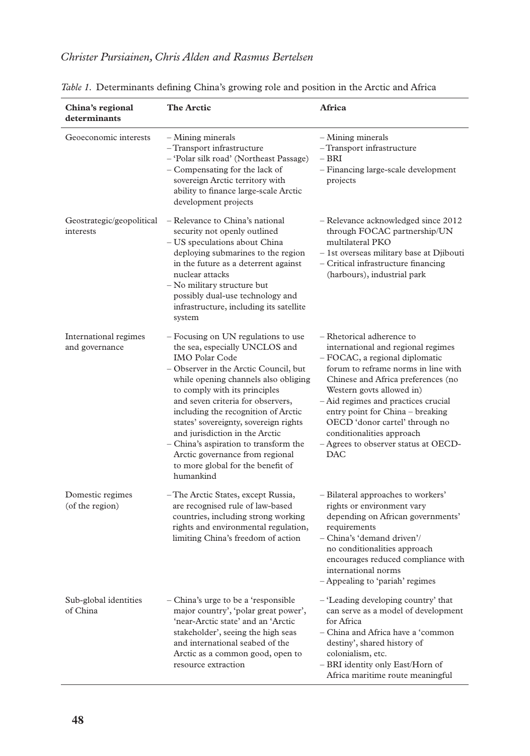| China's regional<br>determinants        | <b>The Arctic</b>                                                                                                                                                                                                                                                                                                                                                                                                                                                                                     | Africa                                                                                                                                                                                                                                                                                                                                                                                                      |  |  |  |  |
|-----------------------------------------|-------------------------------------------------------------------------------------------------------------------------------------------------------------------------------------------------------------------------------------------------------------------------------------------------------------------------------------------------------------------------------------------------------------------------------------------------------------------------------------------------------|-------------------------------------------------------------------------------------------------------------------------------------------------------------------------------------------------------------------------------------------------------------------------------------------------------------------------------------------------------------------------------------------------------------|--|--|--|--|
| Geoeconomic interests                   | - Mining minerals<br>-Transport infrastructure<br>- 'Polar silk road' (Northeast Passage)<br>- Compensating for the lack of<br>sovereign Arctic territory with<br>ability to finance large-scale Arctic<br>development projects                                                                                                                                                                                                                                                                       | $-$ Mining minerals<br>-Transport infrastructure<br>– BRI<br>- Financing large-scale development<br>projects                                                                                                                                                                                                                                                                                                |  |  |  |  |
| Geostrategic/geopolitical<br>interests  | - Relevance to China's national<br>security not openly outlined<br>- US speculations about China<br>deploying submarines to the region<br>in the future as a deterrent against<br>nuclear attacks<br>- No military structure but<br>possibly dual-use technology and<br>infrastructure, including its satellite<br>system                                                                                                                                                                             | - Relevance acknowledged since 2012<br>through FOCAC partnership/UN<br>multilateral PKO<br>- 1st overseas military base at Djibouti<br>- Critical infrastructure financing<br>(harbours), industrial park                                                                                                                                                                                                   |  |  |  |  |
| International regimes<br>and governance | - Focusing on UN regulations to use<br>the sea, especially UNCLOS and<br><b>IMO Polar Code</b><br>– Observer in the Arctic Council, but<br>while opening channels also obliging<br>to comply with its principles<br>and seven criteria for observers,<br>including the recognition of Arctic<br>states' sovereignty, sovereign rights<br>and jurisdiction in the Arctic<br>- China's aspiration to transform the<br>Arctic governance from regional<br>to more global for the benefit of<br>humankind | - Rhetorical adherence to<br>international and regional regimes<br>- FOCAC, a regional diplomatic<br>forum to reframe norms in line with<br>Chinese and Africa preferences (no<br>Western govts allowed in)<br>- Aid regimes and practices crucial<br>entry point for China - breaking<br>OECD 'donor cartel' through no<br>conditionalities approach<br>- Agrees to observer status at OECD-<br><b>DAC</b> |  |  |  |  |
| Domestic regimes<br>(of the region)     | - The Arctic States, except Russia,<br>are recognised rule of law-based<br>countries, including strong working<br>rights and environmental regulation,<br>limiting China's freedom of action                                                                                                                                                                                                                                                                                                          | - Bilateral approaches to workers'<br>rights or environment vary<br>depending on African governments'<br>requirements<br>- China's 'demand driven'/<br>no conditionalities approach<br>encourages reduced compliance with<br>international norms<br>Appealing to 'pariah' regimes                                                                                                                           |  |  |  |  |
| Sub-global identities<br>of China       | China's urge to be a 'responsible<br>major country', 'polar great power',<br>'near-Arctic state' and an 'Arctic<br>stakeholder', seeing the high seas<br>and international seabed of the<br>Arctic as a common good, open to<br>resource extraction                                                                                                                                                                                                                                                   | - 'Leading developing country' that<br>can serve as a model of development<br>for Africa<br>- China and Africa have a 'common<br>destiny', shared history of<br>colonialism, etc.<br>- BRI identity only East/Horn of<br>Africa maritime route meaningful                                                                                                                                                   |  |  |  |  |

|  |  | Table 1. Determinants defining China's growing role and position in the Arctic and Africa |  |  |  |  |  |  |  |  |  |
|--|--|-------------------------------------------------------------------------------------------|--|--|--|--|--|--|--|--|--|
|--|--|-------------------------------------------------------------------------------------------|--|--|--|--|--|--|--|--|--|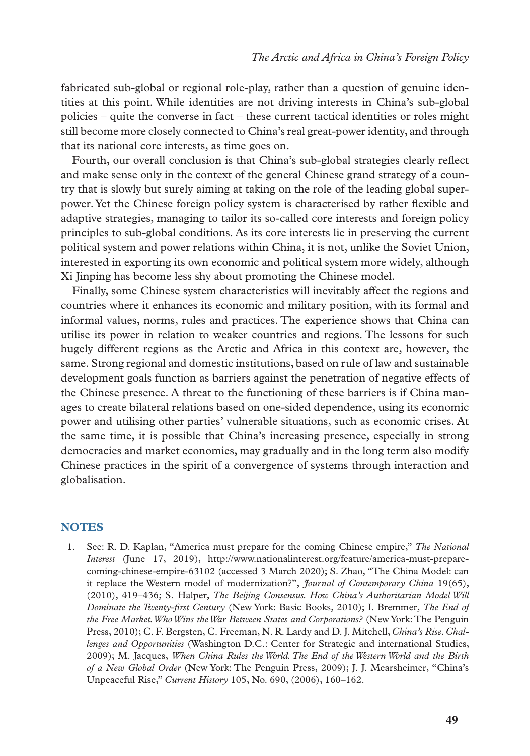fabricated sub-global or regional role-play, rather than a question of genuine identities at this point. While identities are not driving interests in China's sub-global policies – quite the converse in fact – these current tactical identities or roles might still become more closely connected to China's real great-power identity, and through that its national core interests, as time goes on.

Fourth, our overall conclusion is that China's sub-global strategies clearly reflect and make sense only in the context of the general Chinese grand strategy of a country that is slowly but surely aiming at taking on the role of the leading global superpower. Yet the Chinese foreign policy system is characterised by rather flexible and adaptive strategies, managing to tailor its so-called core interests and foreign policy principles to sub-global conditions. As its core interests lie in preserving the current political system and power relations within China, it is not, unlike the Soviet Union, interested in exporting its own economic and political system more widely, although Xi Jinping has become less shy about promoting the Chinese model.

Finally, some Chinese system characteristics will inevitably affect the regions and countries where it enhances its economic and military position, with its formal and informal values, norms, rules and practices. The experience shows that China can utilise its power in relation to weaker countries and regions. The lessons for such hugely different regions as the Arctic and Africa in this context are, however, the same. Strong regional and domestic institutions, based on rule of law and sustainable development goals function as barriers against the penetration of negative effects of the Chinese presence. A threat to the functioning of these barriers is if China manages to create bilateral relations based on one-sided dependence, using its economic power and utilising other parties' vulnerable situations, such as economic crises. At the same time, it is possible that China's increasing presence, especially in strong democracies and market economies, may gradually and in the long term also modify Chinese practices in the spirit of a convergence of systems through interaction and globalisation.

# **NOTES**

1. See: R. D. Kaplan, "America must prepare for the coming Chinese empire," *The National Interest* (June 17, 2019), http://www.nationalinterest.org/feature/america-must-preparecoming-chinese-empire-63102 (accessed 3 March 2020); S. Zhao, "The China Model: can it replace the Western model of modernization?", *Journal of Contemporary China* 19(65), (2010), 419–436; S. Halper, *The Beijing Consensus. How China's Authoritarian Model Will Dominate the Twenty-first Century* (New York: Basic Books, 2010); I. Bremmer, *The End of the Free Market. Who Wins the War Between States and Corporations?* (New York: The Penguin Press, 2010); C. F. Bergsten, C. Freeman, N. R. Lardy and D. J. Mitchell, *China's Rise. Challenges and Opportunities* (Washington D.C.: Center for Strategic and international Studies, 2009); M. Jacques, *When China Rules the World. The End of the Western World and the Birth of a New Global Order* (New York: The Penguin Press, 2009); J. J. Mearsheimer, "China's Unpeaceful Rise," *Current History* 105, No. 690, (2006), 160–162.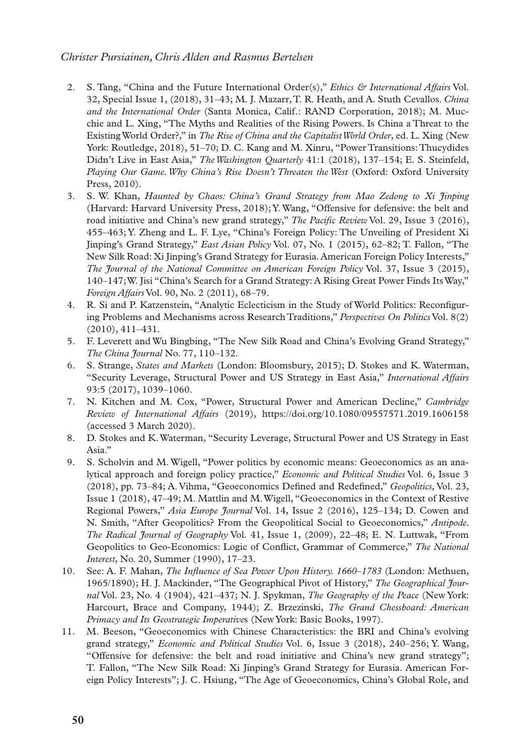- 2. S. Tang, "China and the Future International Order(s)," *Ethics & International Affairs* Vol. 32, Special Issue 1, (2018), 31–43; M. J. Mazarr, T. R. Heath, and A. Stuth Cevallos. *China and the International Order* (Santa Monica, Calif.: RAND Corporation, 2018); M. Mucchie and L. Xing, "The Myths and Realities of the Rising Powers. Is China a Threat to the Existing World Order?," in *The Rise of China and the Capitalist World Order*, ed. L. Xing (New York: Routledge, 2018), 51–70; D. C. Kang and M. Xinru, "Power Transitions: Thucydides Didn't Live in East Asia," *The Washington Quarterly* 41:1 (2018), 137–154; E. S. Steinfeld, *Playing Our Game. Why China's Rise Doesn't Threaten the West* (Oxford: Oxford University Press, 2010).
- 3. S. W. Khan, *Haunted by Chaos: China's Grand Strategy from Mao Zedong to Xi Jinping* (Harvard: Harvard University Press, 2018); Y. Wang, "Offensive for defensive: the belt and road initiative and China's new grand strategy," *The Pacific Review* Vol. 29, Issue 3 (2016), 455–463; Y. Zheng and L. F. Lye, "China's Foreign Policy: The Unveiling of President Xi Jinping's Grand Strategy," *East Asian Policy* Vol. 07, No. 1 (2015), 62–82; T. Fallon, "The New Silk Road: Xi Jinping's Grand Strategy for Eurasia. American Foreign Policy Interests," *The Journal of the National Committee on American Foreign Policy* Vol. 37, Issue 3 (2015), 140–147; W. Jisi "China's Search for a Grand Strategy: A Rising Great Power Finds Its Way," *Foreign Affairs* Vol. 90, No. 2 (2011), 68–79.
- 4. R. Si and P. Katzenstein, "Analytic Eclecticism in the Study of World Politics: Reconfiguring Problems and Mechanisms across Research Traditions," *Perspectives On Politics* Vol. 8(2) (2010), 411–431.
- 5. F. Leverett and Wu Bingbing, "The New Silk Road and China's Evolving Grand Strategy," *The China Journal* No. 77, 110–132.
- 6. S. Strange, *States and Markets* (London: Bloomsbury, 2015); D. Stokes and K. Waterman, "Security Leverage, Structural Power and US Strategy in East Asia," *International Affairs*  93:5 (2017), 1039–1060.
- 7. N. Kitchen and M. Cox, "Power, Structural Power and American Decline," *Cambridge Review of International Affairs* (2019), https://doi.org/10.1080/09557571.2019.1606158 (accessed 3 March 2020).
- 8. D. Stokes and K. Waterman, "Security Leverage, Structural Power and US Strategy in East Asia."
- 9. S. Scholvin and M. Wigell, "Power politics by economic means: Geoeconomics as an analytical approach and foreign policy practice," *Economic and Political Studies* Vol. 6, Issue 3 (2018), pp. 73–84; A. Vihma, "Geoeconomics Defined and Redefined," *Geopolitics,* Vol. 23, Issue 1 (2018), 47–49; M. Mattlin and M. Wigell, "Geoeconomics in the Context of Restive Regional Powers," *Asia Europe Journal* Vol. 14, Issue 2 (2016), 125–134; D. Cowen and N. Smith, "After Geopolitics? From the Geopolitical Social to Geoeconomics," *Antipode. The Radical Journal of Geography* Vol. 41, Issue 1, (2009), 22–48; E. N. Luttwak, "From Geopolitics to Geo-Economics: Logic of Conflict, Grammar of Commerce," *The National Interest*, No. 20, Summer (1990), 17–23.
- 10. See: A. F. Mahan, *The Influence of Sea Power Upon History. 1660–1783* (London: Methuen, 1965/1890); H. J. Mackinder, "The Geographical Pivot of History," *The Geographical Journal* Vol. 23, No. 4 (1904), 421–437; N. J. Spykman, *The Geography of the Peace* (New York: Harcourt, Brace and Company, 1944); Z. Brzezinski, *The Grand Chessboard: American Primacy and Its Geostrategic Imperative*s (New York: Basic Books, 1997).
- 11. M. Beeson, "Geoeconomics with Chinese Characteristics: the BRI and China's evolving grand strategy," *Economic and Political Studies* Vol. 6, Issue 3 (2018), 240–256; Y. Wang, "Offensive for defensive: the belt and road initiative and China's new grand strategy"; T. Fallon, "The New Silk Road: Xi Jinping's Grand Strategy for Eurasia. American Foreign Policy Interests"; J. C. Hsiung, "The Age of Geoeconomics, China's Global Role, and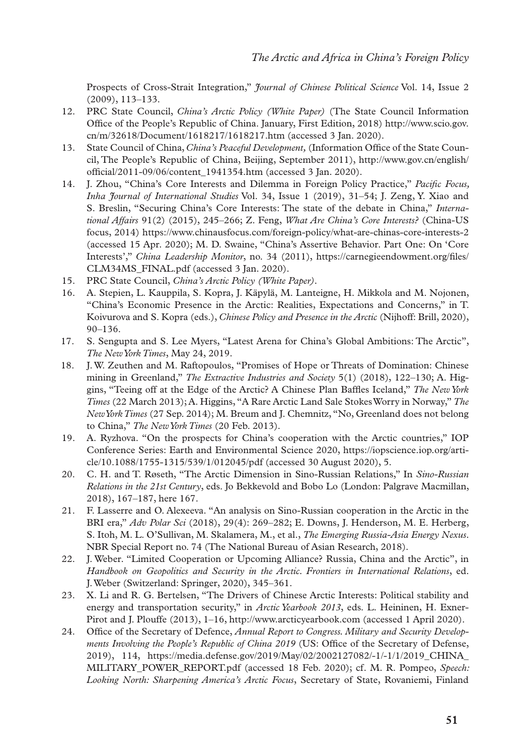Prospects of Cross-Strait Integration," *Journal of Chinese Political Science* Vol. 14, Issue 2 (2009), 113–133.

- 12. PRC State Council, *China's Arctic Policy (White Paper)* (The State Council Information Office of the People's Republic of China. January, First Edition, 2018) [http://www.scio.gov.](http://www.scio.gov.cn/m/32618/Document/1618217/1618217.htm) [cn/m/32618/Document/1618217/1618217.htm](http://www.scio.gov.cn/m/32618/Document/1618217/1618217.htm) (accessed 3 Jan. 2020).
- 13. State Council of China, *China's Peaceful Development,* (Information Office of the State Council, The People's Republic of China, Beijing, September 2011), [http://www.gov.cn/english/](http://www.gov.cn/english/official/2011-09/06/content_1941354.htm) [official/2011-09/06/content\\_1941354.htm](http://www.gov.cn/english/official/2011-09/06/content_1941354.htm) (accessed 3 Jan. 2020).
- 14. J. Zhou, "China's Core Interests and Dilemma in Foreign Policy Practice," *Pacific Focus, Inha Journal of International Studies* Vol. 34, Issue 1 (2019), 31–54; J. Zeng, Y. Xiao and S. Breslin, "Securing China's Core Interests: The state of the debate in China," *International Affairs* 91(2) (2015), 245–266; Z. Feng, *What Are China's Core Interests?* (China-US focus, 2014) https://www.chinausfocus.com/foreign-policy/what-are-chinas-core-interests-2 (accessed 15 Apr. 2020); M. D. Swaine, "China's Assertive Behavior. Part One: On 'Core Interests'," *China Leadership Monitor*, no. 34 (2011), [https://carnegieendowment.org/files/](https://carnegieendowment.org/files/CLM34MS_FINAL.pdf) [CLM34MS\\_FINAL.pdf](https://carnegieendowment.org/files/CLM34MS_FINAL.pdf) (accessed 3 Jan. 2020).
- 15. PRC State Council, *China's Arctic Policy (White Paper).*
- 16. A. Stepien, L. Kauppila, S. Kopra, J. Käpylä, M. Lanteigne, H. Mikkola and M. Nojonen, "China's Economic Presence in the Arctic: Realities, Expectations and Concerns," in T. Koivurova and S. Kopra (eds.), *Chinese Policy and Presence in the Arctic* (Nijhoff: Brill, 2020), 90–136.
- 17. S. Sengupta and S. Lee Myers, "Latest Arena for China's Global Ambitions: The Arctic", *The New York Times*, May 24, 2019.
- 18. J. W. Zeuthen and M. Raftopoulos, "Promises of Hope or Threats of Domination: Chinese mining in Greenland," *The Extractive Industries and Society* 5(1) (2018), 122–130; A. Higgins, "Teeing off at the Edge of the Arctic? A Chinese Plan Baffles Iceland," *The New York Times* (22 March 2013); A. Higgins, "A Rare Arctic Land Sale Stokes Worry in Norway," *The New York Times* (27 Sep. 2014); M. Breum and J. Chemnitz, "No, Greenland does not belong to China," *The New York Times* (20 Feb. 2013).
- 19. A. Ryzhova. "On the prospects for China's cooperation with the Arctic countries," IOP Conference Series: Earth and Environmental Science 2020, https://iopscience.iop.org/article/10.1088/1755-1315/539/1/012045/pdf (accessed 30 August 2020), 5.
- 20. C. H. and T. Røseth, "The Arctic Dimension in Sino-Russian Relations," In *Sino-Russian Relations in the 21st Century*, eds. Jo Bekkevold and Bobo Lo (London: Palgrave Macmillan, 2018), 167–187, here 167.
- 21. F. Lasserre and O. Alexeeva. "An analysis on Sino-Russian cooperation in the Arctic in the BRI era," *Adv Polar Sci* (2018), 29(4): 269–282; E. Downs, J. Henderson, M. E. Herberg, S. Itoh, M. L. O'Sullivan, M. Skalamera, M., et al., *The Emerging Russia-Asia Energy Nexus*. NBR Special Report no. 74 (The National Bureau of Asian Research, 2018).
- 22. J. Weber. "Limited Cooperation or Upcoming Alliance? Russia, China and the Arctic", in *Handbook on Geopolitics and Security in the Arctic. Frontiers in International Relations*, ed. J. Weber (Switzerland: Springer, 2020), 345–361.
- 23. X. Li and R. G. Bertelsen, "The Drivers of Chinese Arctic Interests: Political stability and energy and transportation security," in *Arctic Yearbook 2013*, eds. L. Heininen, H. Exner-Pirot and J. Plouffe (2013), 1–16, http://www.arcticyearbook.com (accessed 1 April 2020).
- 24. Office of the Secretary of Defence, *Annual Report to Congress. Military and Security Developments Involving the People's Republic of China 2019* (US: Office of the Secretary of Defense, 2019), 114, [https://media.defense.gov/2019/May/02/2002127082/-1/-1/1/2019\\_CHINA\\_](https://media.defense.gov/2019/May/02/2002127082/-1/-1/1/2019_CHINA_MILITARY_POWER_REPORT.pdf) [MILITARY\\_POWER\\_REPORT.pdf](https://media.defense.gov/2019/May/02/2002127082/-1/-1/1/2019_CHINA_MILITARY_POWER_REPORT.pdf) (accessed 18 Feb. 2020); cf. M. R. Pompeo, *Speech: Looking North: Sharpening America's Arctic Focus*, Secretary of State, Rovaniemi, Finland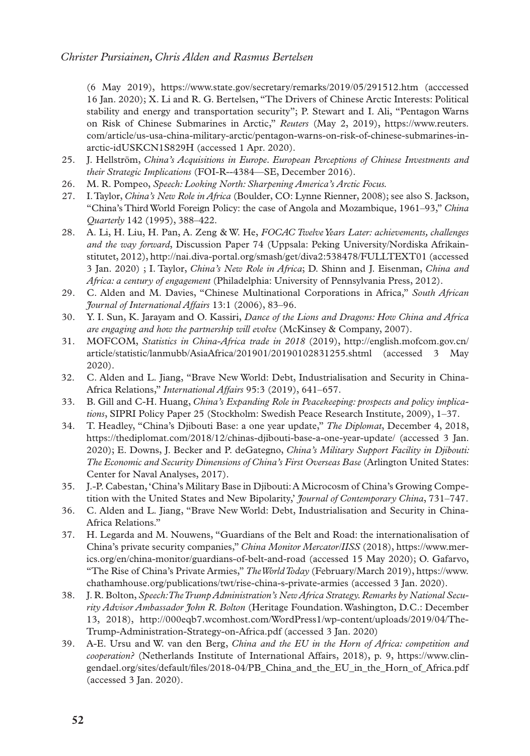(6 May 2019), https://www.state.gov/secretary/remarks/2019/05/291512.htm (acccessed 16 Jan. 2020); X. Li and R. G. Bertelsen, "The Drivers of Chinese Arctic Interests: Political stability and energy and transportation security"; P. Stewart and I. Ali, "Pentagon Warns on Risk of Chinese Submarines in Arctic," *Reuters* (May 2, 2019), [https://www.reuters.](https://www.reuters.com/article/us-usa-china-military-arctic/pentagon-warns-on-risk-of-chinese-submarines-inarctic-idUSKCN1S829H) [com/article/us-usa-china-military-arctic/pentagon-warns-on-risk-of-chinese-submarines-in](https://www.reuters.com/article/us-usa-china-military-arctic/pentagon-warns-on-risk-of-chinese-submarines-inarctic-idUSKCN1S829H)[arctic-idUSKCN1S829H](https://www.reuters.com/article/us-usa-china-military-arctic/pentagon-warns-on-risk-of-chinese-submarines-inarctic-idUSKCN1S829H) (accessed 1 Apr. 2020).

- 25. J. Hellström, *China's Acquisitions in Europe. European Perceptions of Chinese Investments and their Strategic Implications* (FOI-R--4384—SE, December 2016).
- 26. M. R. Pompeo, *Speech: Looking North: Sharpening America's Arctic Focus.*
- 27. I. Taylor, *China's New Role in Africa* (Boulder, CO: Lynne Rienner, 2008); see also S. Jackson, "China's Third World Foreign Policy: the case of Angola and Mozambique, 1961–93," *China Quarterly* 142 (1995), 388–422.
- 28. A. Li, H. Liu, H. Pan, A. Zeng & W. He, *FOCAC Twelve Years Later: achievements, challenges and the way forward*, Discussion Paper 74 (Uppsala: Peking University/Nordiska Afrikainstitutet, 2012), http://nai.diva-portal.org/smash/get/diva2:538478/FULLTEXT01 (accessed 3 Jan. 2020) ; I. Taylor, *China's New Role in Africa*; D. Shinn and J. Eisenman, *China and Africa: a century of engagement* (Philadelphia: University of Pennsylvania Press, 2012).
- 29. C. Alden and M. Davies, "Chinese Multinational Corporations in Africa," *South African Journal of International Affairs* 13:1 (2006), 83–96.
- 30. Y. I. Sun, K. Jarayam and O. Kassiri, *Dance of the Lions and Dragons: How China and Africa are engaging and how the partnership will evolve* (McKinsey & Company, 2007).
- 31. MOFCOM, *Statistics in China-Africa trade in 2018* (2019), [http://english.mofcom.gov.cn/](http://english.mofcom.gov.cn/article/statistic/lanmubb/AsiaAfrica/201901/20190102831255.shtml) [article/statistic/lanmubb/AsiaAfrica/201901/20190102831255.shtml](http://english.mofcom.gov.cn/article/statistic/lanmubb/AsiaAfrica/201901/20190102831255.shtml) (accessed 3 May 2020).
- 32. C. Alden and L. Jiang, "Brave New World: Debt, Industrialisation and Security in China-Africa Relations," *International Affairs* 95:3 (2019), 641–657.
- 33. B. Gill and C-H. Huang, *China's Expanding Role in Peacekeeping: prospects and policy implications*, SIPRI Policy Paper 25 (Stockholm: Swedish Peace Research Institute, 2009), 1–37.
- 34. T. Headley, "China's Djibouti Base: a one year update," *The Diplomat*, December 4, 2018, https://thediplomat.com/2018/12/chinas-djibouti-base-a-one-year-update/ (accessed 3 Jan. 2020); E. Downs, J. Becker and P. deGategno, *China's Military Support Facility in Djibouti: The Economic and Security Dimensions of China's First Overseas Base* (Arlington United States: Center for Naval Analyses, 2017).
- 35. J.-P. Cabestan, 'China's Military Base in Djibouti: A Microcosm of China's Growing Competition with the United States and New Bipolarity,' *Journal of Contemporary China*, 731–747.
- 36. C. Alden and L. Jiang, "Brave New World: Debt, Industrialisation and Security in China-Africa Relations."
- 37. H. Legarda and M. Nouwens, "Guardians of the Belt and Road: the internationalisation of China's private security companies," *China Monitor Mercator/IISS* (2018), https://www.merics.org/en/china-monitor/guardians-of-belt-and-road (accessed 15 May 2020); O. Gafarvo, "The Rise of China's Private Armies," *The World Today* (February/March 2019), [https://www.](https://www.chathamhouse.org/publications/twt/rise-china-s-private-armies) [chathamhouse.org/publications/twt/rise-china-s-private-armies](https://www.chathamhouse.org/publications/twt/rise-china-s-private-armies) (accessed 3 Jan. 2020).
- 38. J. R. Bolton, *Speech: The Trump Administration's New Africa Strategy. Remarks by National Security Advisor Ambassador John R. Bolton* (Heritage Foundation. Washington, D.C.: December 13, 2018), http://000eqb7.wcomhost.com/WordPress1/wp-content/uploads/2019/04/The-Trump-Administration-Strategy-on-Africa.pdf (accessed 3 Jan. 2020)
- 39. A-E. Ursu and W. van den Berg, *China and the EU in the Horn of Africa: competition and cooperation?* (Netherlands Institute of International Affairs, 2018), p. 9, https://www.clingendael.org/sites/default/files/2018-04/PB\_China\_and\_the\_EU\_in\_the\_Horn\_of\_Africa.pdf (accessed 3 Jan. 2020).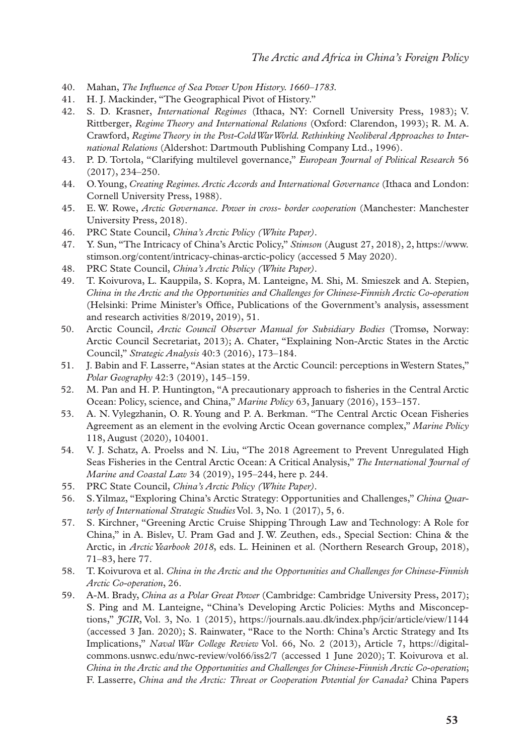- 40. Mahan, *The Influence of Sea Power Upon History. 1660–1783.*
- 41. H. J. Mackinder, "The Geographical Pivot of History."
- 42. S. D. Krasner, *International Regimes* (Ithaca, NY: Cornell University Press, 1983); V. Rittberger, *Regime Theory and International Relations* (Oxford: Clarendon, 1993); R. M. A. Crawford, *Regime Theory in the Post-Cold War World. Rethinking Neoliberal Approaches to International Relations* (Aldershot: Dartmouth Publishing Company Ltd., 1996).
- 43. P. D. Tortola, "Clarifying multilevel governance," *European Journal of Political Research* 56 (2017), 234–250.
- 44. O. Young, *Creating Regimes. Arctic Accords and International Governance* (Ithaca and London: Cornell University Press, 1988).
- 45. E. W. Rowe, *Arctic Governance. Power in cross- border cooperation* (Manchester: Manchester University Press, 2018).
- 46. PRC State Council, *China's Arctic Policy (White Paper).*
- 47. Y. Sun, "The Intricacy of China's Arctic Policy," *Stimson* (August 27, 2018), 2, [https://www.](https://www.stimson.org/content/intricacy-chinas-arctic-policy) [stimson.org/content/intricacy-chinas-arctic-policy](https://www.stimson.org/content/intricacy-chinas-arctic-policy) (accessed 5 May 2020).
- 48. PRC State Council, *China's Arctic Policy (White Paper).*
- 49. T. Koivurova, L. Kauppila, S. Kopra, M. Lanteigne, M. Shi, M. Smieszek and A. Stepien, *China in the Arctic and the Opportunities and Challenges for Chinese-Finnish Arctic Co-operation* (Helsinki: Prime Minister's Office, Publications of the Government's analysis, assessment and research activities 8/2019, 2019), 51.
- 50. Arctic Council, *Arctic Council Observer Manual for Subsidiary Bodies* (Tromsø, Norway: Arctic Council Secretariat, 2013); A. Chater, "Explaining Non-Arctic States in the Arctic Council," *Strategic Analysis* 40:3 (2016), 173–184.
- 51. J. Babin and F. Lasserre, "Asian states at the Arctic Council: perceptions in Western States," *Polar Geography* 42:3 (2019), 145–159.
- 52. M. Pan and H. P. Huntington, "A precautionary approach to fisheries in the Central Arctic Ocean: Policy, science, and China," *Marine Policy* 63, January (2016), 153–157.
- 53. A. N. Vylegzhanin, O. R. Young and P. A. Berkman. "The Central Arctic Ocean Fisheries Agreement as an element in the evolving Arctic Ocean governance complex," *Marine Policy* 118, August (2020), 104001.
- 54. V. J. Schatz, A. Proelss and N. Liu, "The 2018 Agreement to Prevent Unregulated High Seas Fisheries in the Central Arctic Ocean: A Critical Analysis," *The International Journal of Marine and Coastal Law* 34 (2019), 195–244, here p. 244.
- 55. PRC State Council, *China's Arctic Policy (White Paper).*
- 56. S. Yilmaz, "Exploring China's Arctic Strategy: Opportunities and Challenges," *China Quarterly of International Strategic Studies* Vol. 3, No. 1 (2017), 5, 6.
- 57. S. Kirchner, "Greening Arctic Cruise Shipping Through Law and Technology: A Role for China," in A. Bislev, U. Pram Gad and J. W. Zeuthen, eds., Special Section: China & the Arctic, in *Arctic Yearbook 2018*, eds. L. Heininen et al. (Northern Research Group, 2018), 71–83, here 77.
- 58. T. Koivurova et al. *China in the Arctic and the Opportunities and Challenges for Chinese-Finnish Arctic Co-operation*, 26.
- 59. A-M. Brady, *China as a Polar Great Power* (Cambridge: Cambridge University Press, 2017); S. Ping and M. Lanteigne, "China's Developing Arctic Policies: Myths and Misconceptions," *JCIR*, Vol. 3, No. 1 (2015), https://journals.aau.dk/index.php/jcir/article/view/1144 (accessed 3 Jan. 2020); S. Rainwater, "Race to the North: China's Arctic Strategy and Its Implications," *Naval War College Review* Vol. 66, No. 2 (2013), Article 7, https://digitalcommons.usnwc.edu/nwc-review/vol66/iss2/7 (accessed 1 June 2020); T. Koivurova et al. *China in the Arctic and the Opportunities and Challenges for Chinese-Finnish Arctic Co-operation*; F. Lasserre, *China and the Arctic: Threat or Cooperation Potential for Canada?* China Papers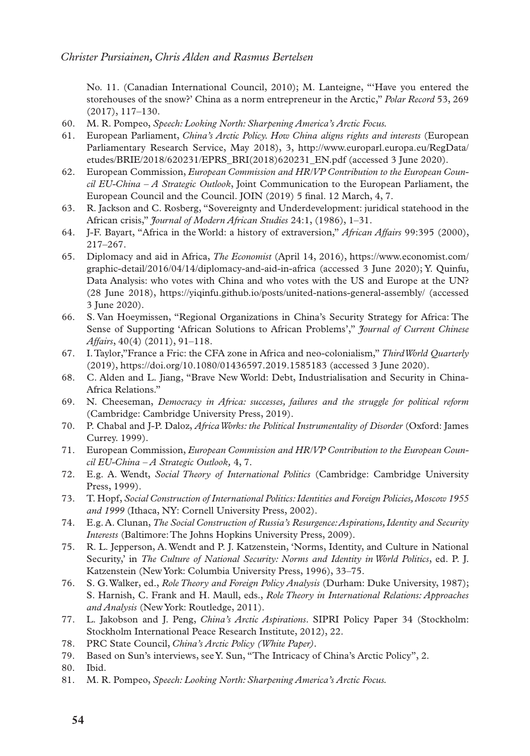No. 11. (Canadian International Council, 2010); M. Lanteigne, "'Have you entered the storehouses of the snow?' China as a norm entrepreneur in the Arctic," *Polar Record* 53, 269 (2017), 117–130.

- 60. M. R. Pompeo, *Speech: Looking North: Sharpening America's Arctic Focus.*
- 61. European Parliament, *China's Arctic Policy. How China aligns rights and interests* (European Parliamentary Research Service, May 2018), 3, [http://www.europarl.europa.eu/RegData/](http://www.europarl.europa.eu/RegData/etudes/BRIE/2018/620231/EPRS_BRI(2018)620231_EN.pdf) [etudes/BRIE/2018/620231/EPRS\\_BRI\(2018\)620231\\_EN.pdf](http://www.europarl.europa.eu/RegData/etudes/BRIE/2018/620231/EPRS_BRI(2018)620231_EN.pdf) (accessed 3 June 2020).
- 62. European Commission, *European Commission and HR/VP Contribution to the European Council EU-China – A Strategic Outlook*, Joint Communication to the European Parliament, the European Council and the Council. JOIN (2019) 5 final. 12 March, 4, 7.
- 63. R. Jackson and C. Rosberg, "Sovereignty and Underdevelopment: juridical statehood in the African crisis," *Journal of Modern African Studies* 24:1, (1986), 1–31.
- 64. J-F. Bayart, "Africa in the World: a history of extraversion," *African Affairs* 99:395 (2000), 217–267.
- 65. Diplomacy and aid in Africa, *The Economist* (April 14, 2016), [https://www.economist.com/](https://www.economist.com/graphic-detail/2016/04/14/diplomacy-and-aid-in-africa) [graphic-detail/2016/04/14/diplomacy-and-aid-in-africa](https://www.economist.com/graphic-detail/2016/04/14/diplomacy-and-aid-in-africa) (accessed 3 June 2020); Y. Quinfu, Data Analysis: who votes with China and who votes with the US and Europe at the UN? (28 June 2018), https://yiqinfu.github.io/posts/united-nations-general-assembly/ (accessed 3 June 2020).
- 66. S. Van Hoeymissen, "Regional Organizations in China's Security Strategy for Africa: The Sense of Supporting 'African Solutions to African Problems'," *Journal of Current Chinese Affairs*, 40(4) (2011), 91–118.
- 67. I. Taylor,"France a Fric: the CFA zone in Africa and neo-colonialism," *Third World Quarterly* (2019), https://doi.org/10.1080/01436597.2019.1585183 (accessed 3 June 2020).
- 68. C. Alden and L. Jiang, "Brave New World: Debt, Industrialisation and Security in China-Africa Relations."
- 69. N. Cheeseman, *Democracy in Africa: successes, failures and the struggle for political reform* (Cambridge: Cambridge University Press, 2019).
- 70. P. Chabal and J-P. Daloz, *Africa Works: the Political Instrumentality of Disorder* (Oxford: James Currey. 1999).
- 71. European Commission, *European Commission and HR/VP Contribution to the European Council EU-China – A Strategic Outlook,* 4, 7.
- 72. E.g. A. Wendt, *Social Theory of International Politics* (Cambridge: Cambridge University Press, 1999).
- 73. T. Hopf, *Social Construction of International Politics: Identities and Foreign Policies, Moscow 1955 and 1999* (Ithaca, NY: Cornell University Press, 2002).
- 74. E.g. A. Clunan, *The Social Construction of Russia's Resurgence: Aspirations, Identity and Security Interests* (Baltimore: The Johns Hopkins University Press, 2009).
- 75. R. L. Jepperson, A. Wendt and P. J. Katzenstein, 'Norms, Identity, and Culture in National Security,' in *The Culture of National Security: Norms and Identity in World Politics*, ed. P. J. Katzenstein (New York: Columbia University Press, 1996), 33–75.
- 76. S. G. Walker, ed., *Role Theory and Foreign Policy Analysis* (Durham: Duke University, 1987); S. Harnish, C. Frank and H. Maull, eds., *Role Theory in International Relations: Approaches and Analysis* (New York: Routledge, 2011).
- 77. L. Jakobson and J. Peng, *China's Arctic Aspirations*. SIPRI Policy Paper 34 (Stockholm: Stockholm International Peace Research Institute, 2012), 22.
- 78. PRC State Council, *China's Arctic Policy (White Paper).*
- 79. Based on Sun's interviews, see Y. Sun, "The Intricacy of China's Arctic Policy", 2.
- 80. Ibid.
- 81. M. R. Pompeo, *Speech: Looking North: Sharpening America's Arctic Focus.*